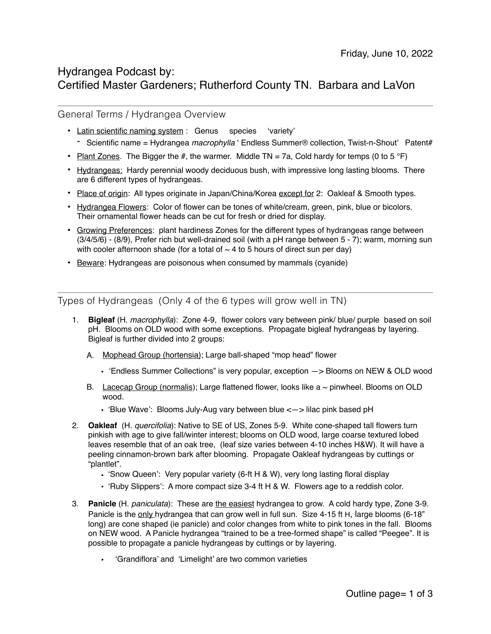# Hydrangea Podcast by: Certified Master Gardeners; Rutherford County TN. Barbara and LaVon

General Terms / Hydrangea Overview

- Latin scientific naming system: Genus species 'variety'
- Scientific name = Hydrangea *macrophylla* ' Endless Summer® collection, Twist-n-Shout' Patent#
- Plant Zones. The Bigger the #, the warmer. Middle TN = 7a, Cold hardy for temps (0 to 5 °F)
- Hydrangeas: Hardy perennial woody deciduous bush, with impressive long lasting blooms. There are 6 different types of hydrangeas.
- Place of origin: All types originate in Japan/China/Korea except for 2: Oakleaf & Smooth types.
- Hydrangea Flowers: Color of flower can be tones of white/cream, green, pink, blue or bicolors. Their ornamental flower heads can be cut for fresh or dried for display.
- Growing Preferences: plant hardiness Zones for the different types of hydrangeas range between (3/4/5/6) - (8/9), Prefer rich but well-drained soil (with a pH range between 5 - 7); warm, morning sun with cooler afternoon shade (for a total of  $\sim$  4 to 5 hours of direct sun per day)
- Beware: Hydrangeas are poisonous when consumed by mammals (cyanide)

Types of Hydrangeas (Only 4 of the 6 types will grow well in TN)

- 1. **Bigleaf** (H. *macrophylla*): Zone 4-9, flower colors vary between pink/ blue/ purple based on soil pH. Blooms on OLD wood with some exceptions. Propagate bigleaf hydrangeas by layering. Bigleaf is further divided into 2 groups:
	- A. Mophead Group (hortensia); Large ball-shaped "mop head" flower
		- 'Endless Summer Collections" is very popular, exception —> Blooms on NEW & OLD wood
	- B. Lacecap Group (normalis); Large flattened flower, looks like  $a \sim p$  pinwheel. Blooms on OLD wood.
		- 'Blue Wave': Blooms July-Aug vary between blue <—> lilac pink based pH
- 2. **Oakleaf** (H. *quercifolia*): Native to SE of US, Zones 5-9. White cone-shaped tall flowers turn pinkish with age to give fall/winter interest; blooms on OLD wood, large coarse textured lobed leaves resemble that of an oak tree, (leaf size varies between 4-10 inches H&W). It will have a peeling cinnamon-brown bark after blooming. Propagate Oakleaf hydrangeas by cuttings or "plantlet".
	- 'Snow Queen': Very popular variety (6-ft H & W), very long lasting floral display
	- 'Ruby Slippers': A more compact size 3-4 ft H & W. Flowers age to a reddish color.
- 3. **Panicle** (H. *paniculata*): These are the easiest hydrangea to grow. A cold hardy type, Zone 3-9. Panicle is the only hydrangea that can grow well in full sun. Size 4-15 ft H, large blooms (6-18" long) are cone shaped (ie panicle) and color changes from white to pink tones in the fall. Blooms on NEW wood. A Panicle hydrangea "trained to be a tree-formed shape" is called "Peegee". It is possible to propagate a panicle hydrangeas by cuttings or by layering.
	- 'Grandiflora' and 'Limelight' are two common varieties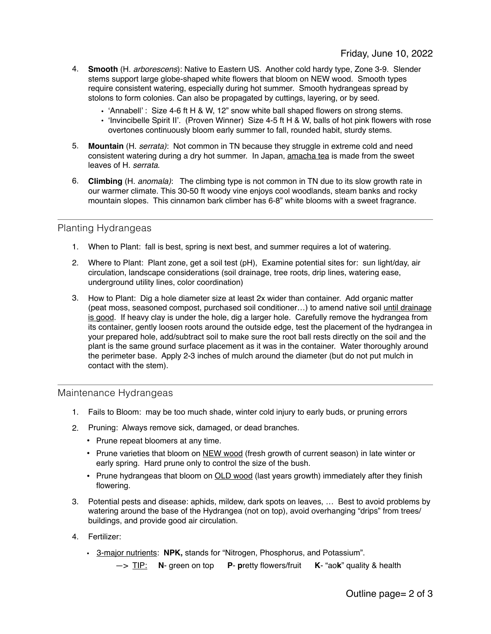- 4. **Smooth** (H. *arborescens*): Native to Eastern US. Another cold hardy type, Zone 3-9. Slender stems support large globe-shaped white flowers that bloom on NEW wood. Smooth types require consistent watering, especially during hot summer. Smooth hydrangeas spread by stolons to form colonies. Can also be propagated by cuttings, layering, or by seed.
	- 'Annabell' : Size 4-6 ft H & W, 12" snow white ball shaped flowers on strong stems.
	- 'Invincibelle Spirit II'. (Proven Winner) Size 4-5 ft H & W, balls of hot pink flowers with rose overtones continuously bloom early summer to fall, rounded habit, sturdy stems.
- 5. **Mountain** (H. *serrata)*: Not common in TN because they struggle in extreme cold and need consistent watering during a dry hot summer. In Japan, amacha tea is made from the sweet leaves of H. *serrata*.
- 6. **Climbing** (H. *anomala)*: The climbing type is not common in TN due to its slow growth rate in our warmer climate. This 30-50 ft woody vine enjoys cool woodlands, steam banks and rocky mountain slopes. This cinnamon bark climber has 6-8" white blooms with a sweet fragrance.

## Planting Hydrangeas

- 1. When to Plant: fall is best, spring is next best, and summer requires a lot of watering.
- 2. Where to Plant: Plant zone, get a soil test (pH), Examine potential sites for: sun light/day, air circulation, landscape considerations (soil drainage, tree roots, drip lines, watering ease, underground utility lines, color coordination)
- 3. How to Plant: Dig a hole diameter size at least 2x wider than container. Add organic matter (peat moss, seasoned compost, purchased soil conditioner…) to amend native soil until drainage is good. If heavy clay is under the hole, dig a larger hole. Carefully remove the hydrangea from its container, gently loosen roots around the outside edge, test the placement of the hydrangea in your prepared hole, add/subtract soil to make sure the root ball rests directly on the soil and the plant is the same ground surface placement as it was in the container. Water thoroughly around the perimeter base. Apply 2-3 inches of mulch around the diameter (but do not put mulch in contact with the stem).

## Maintenance Hydrangeas

- 1. Fails to Bloom: may be too much shade, winter cold injury to early buds, or pruning errors
- 2. Pruning: Always remove sick, damaged, or dead branches.
	- Prune repeat bloomers at any time.
	- Prune varieties that bloom on NEW wood (fresh growth of current season) in late winter or early spring. Hard prune only to control the size of the bush.
	- Prune hydrangeas that bloom on **OLD wood** (last years growth) immediately after they finish flowering.
- 3. Potential pests and disease: aphids, mildew, dark spots on leaves, … Best to avoid problems by watering around the base of the Hydrangea (not on top), avoid overhanging "drips" from trees/ buildings, and provide good air circulation.
- 4. Fertilizer:
	- 3-major nutrients: **NPK,** stands for "Nitrogen, Phosphorus, and Potassium".
		- —> TIP: **N** green on top **P p**retty flowers/fruit **K** "ao**k**" quality & health